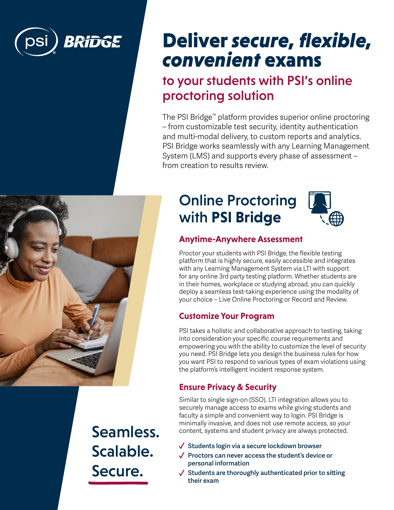

# Deliver *secure, flexible, convenient* exams

## to your students with PSI's online proctoring solution

The PSI Bridge™ platform provides superior online proctoring – from customizable test security, identity authentication and multi-modal delivery, to custom reports and analytics. PSI Bridge works seamlessly with any Learning Management System (LMS) and supports every phase of assessment – from creation to results review.

## Online Proctoring with **PSI Bridge**



#### **Anytime-Anywhere Assessment**

Proctor your students with PSI Bridge, the flexible testing platform that is highly secure, easily accessible and integrates with any Learning Management System via LTI with support for any online 3rd party testing platform. Whether students are in their homes, workplace or studying abroad, you can quickly deploy a seamless test-taking experience using the modality of your choice – Live Online Proctoring or Record and Review.

#### **Customize Your Program**

PSI takes a holistic and collaborative approach to testing, taking into consideration your specific course requirements and empowering you with the ability to customize the level of security you need. PSI Bridge lets you design the business rules for how you want PSI to respond to various types of exam violations using the platform's intelligent incident response system.

#### **Ensure Privacy & Security**

Similar to single sign-on (SSO), LTI integration allows you to securely manage access to exams while giving students and faculty a simple and convenient way to login. PSI Bridge is minimally invasive, and does not use remote access, so your content, systems and student privacy are always protected.

- **Students login via a secure lockdown browser**
- **Proctors can never access the student's device or personal information**
- **Students are thoroughly authenticated prior to sitting their exam**



Seamless. Scalable. Secure.